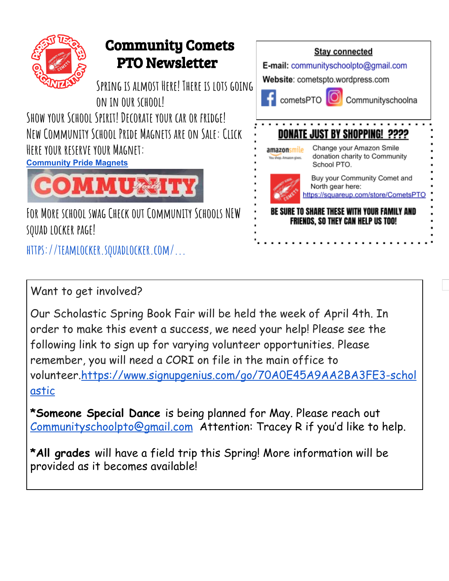

## Community Comets PTO Newsletter

**Spring is almost Here! There is lots going on in our school!**

**Show your School Spirit!Decorate your car or fridge! New Community School Pride Magnets are on Sale: Click Here your reserve your Magnet:**

**[Community](https://docs.google.com/forms/d/e/1FAIpQLSdXr2wSs62pB5elD2IUxRj5HaoKM3U8k86aw0-1z5aWj3aRxA/viewform) Pride Magnets**



**For More school swag Check out Community Schools NEW squad locker page!**

**[https://teamlocker.squadlocker.com/...](https://teamlocker.squadlocker.com/?fbclid=IwAR1SEe5imbADqwWJ3AKNLODwjx_xeeuTndYKmAXQtISblABplikMp5njNEk#/lockers/community-school-store-316664)**



Want to get involved?

Our Scholastic Spring Book Fair will be held the week of April 4th. In order to make this event a success, we need your help! Please see the following link to sign up for varying volunteer opportunities. Please remember, you will need a CORI on file in the main office to volunteer.[https://www.signupgenius.com/go/70A0E45A9AA2BA3FE3-schol](https://www.signupgenius.com/go/70A0E45A9AA2BA3FE3-scholastic) [astic](https://www.signupgenius.com/go/70A0E45A9AA2BA3FE3-scholastic)

**\*Someone Special Dance** is being planned for May. Please reach out [Communityschoolpto@gmail.com](mailto:Communityschoolpto@gmail.com) Attention: Tracey R if you'd like to help.

**\*All grades** will have a field trip this Spring! More information will be provided as it becomes available!